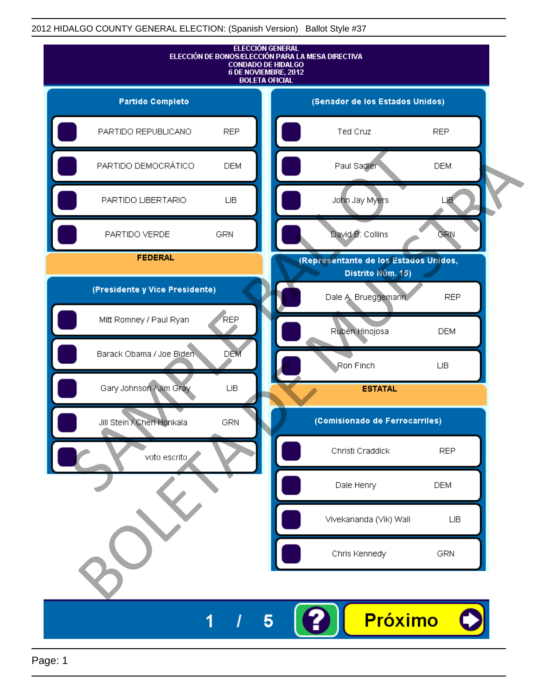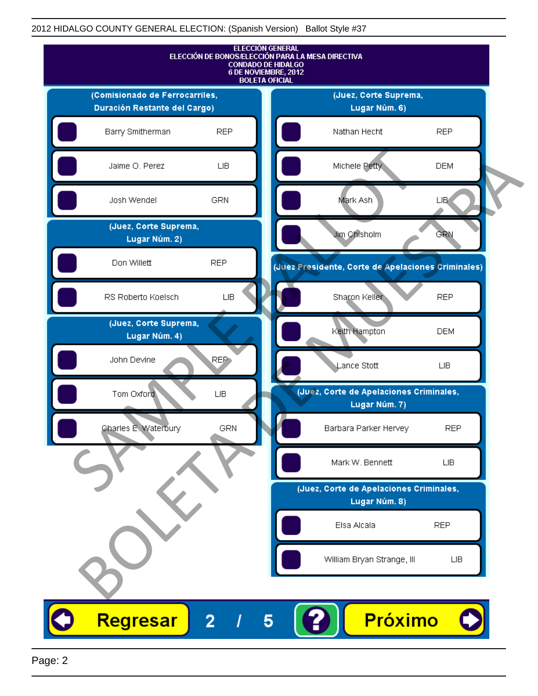

Page: 2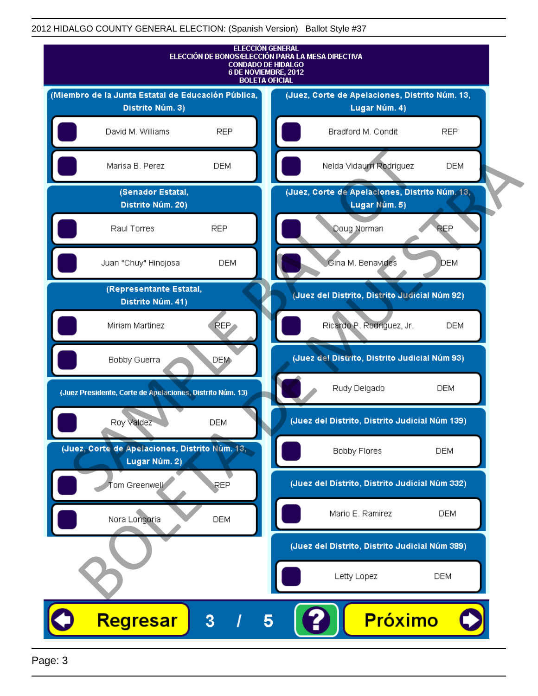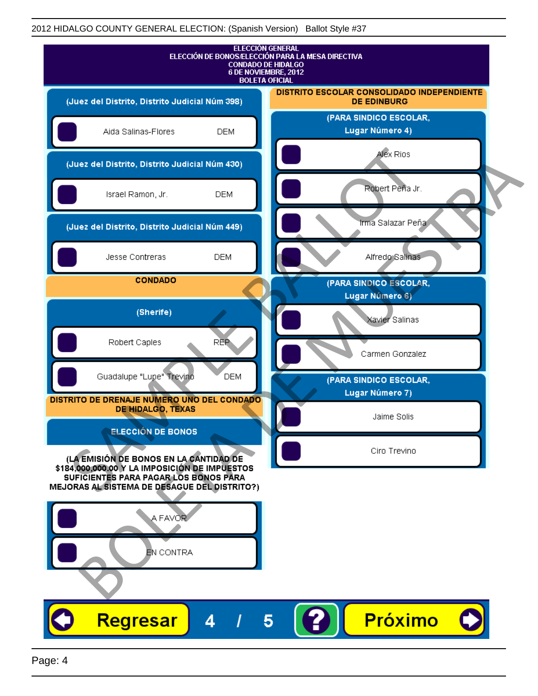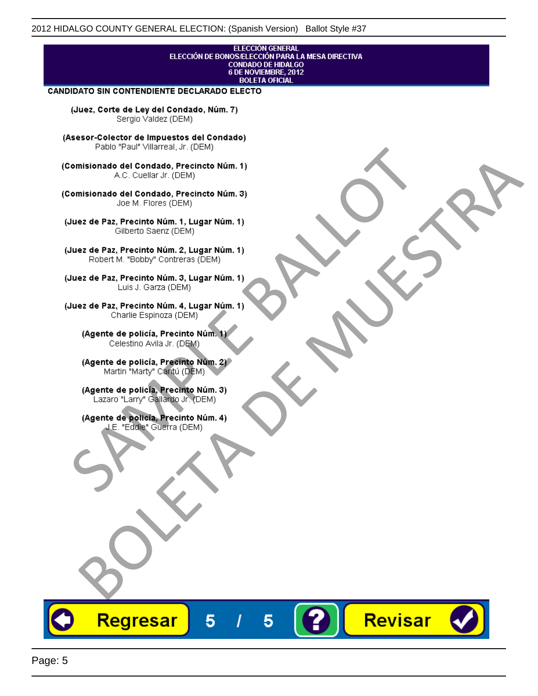#### **ELECCIÓN GENERAL** ELECCIÓN DE BONOS/ELECCIÓN PARA LA MESA DIRECTIVA **CONDADO DE HIDALGO<br>6 DE NOVIEMBRE, 2012 BOLETA OFICIAL**

Revisar

#### CANDIDATO SIN CONTENDIENTE DECLARADO ELECTO

(Juez, Corte de Ley del Condado, Núm. 7) Sergio Valdez (DEM)

(Asesor-Colector de Impuestos del Condado)

Fallo Fall Willdrea, J.I. (DEM)<br>
Consistionado el Condado, Precincto Núm. 1)<br>
A.C. Cuellar Jr. (DEM)<br>
Ullez de Paz, Precinto Núm. 1)<br>
Juez de Paz, Precinto Núm. 1, Lugar Núm. 1)<br>
Gilberto Sentr (DEM)<br>
Robert M. "Bobby" Con misionado del Condiado, Precincto Núm. 1)<br>
Andro del Condiado, Precincto Núm. 3)<br>
ez de Paz, Precinto Núm. 21<br>
algo M. Picer Lo Saerz, (CIEM)<br>
algo M. Picer Lo Saerz, (CIEM)<br>
algo M. Picer Lo Saerz, (CIEM)<br>
ez de Paz, Prec

Regresar

5

5

Page: 5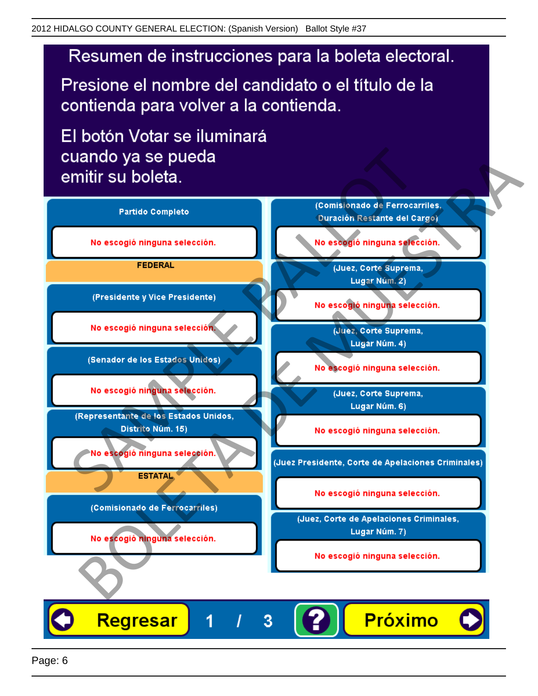# Resumen de instrucciones para la boleta electoral.

Presione el nombre del candidato o el título de la contienda para volver a la contienda.

El botón Votar se iluminará

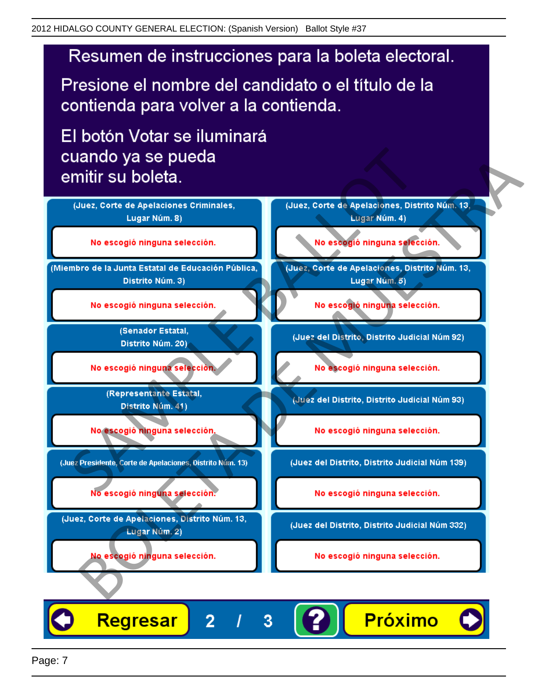# Resumen de instrucciones para la boleta electoral.

Presione el nombre del candidato o el título de la contienda para volver a la contienda.

El botón Votar se iluminará